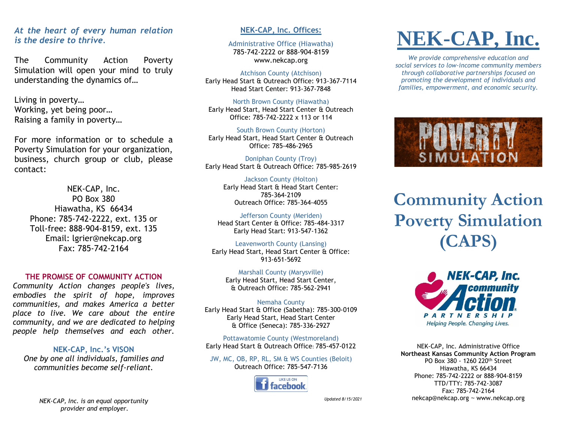## *At the heart of every human relation is the desire to thrive.*

The Community Action Poverty Simulation will open your mind to truly understanding the dynamics of…

Living in poverty… Working, yet being poor… Raising a family in poverty…

For more information or to schedule a Poverty Simulation for your organization, business, church group or club, please contact:

NEK-CAP, Inc. PO Box 380 Hiawatha, KS 66434 Phone: 785-742-2222, ext. 135 or Toll-free: 888-904-8159, ext. 135 Email: lgrier@nekcap.org Fax: 785-742-2164

#### **THE PROMISE OF COMMUNITY ACTION**

*Community Action changes people's lives, embodies the spirit of hope, improves communities, and makes America a better place to live. We care about the entire community, and we are dedicated to helping people help themselves and each other.*

**NEK-CAP, Inc.'s VISON** *One by one all individuals, families and communities become self-reliant.*

#### **NEK-CAP, Inc. Offices:**

Administrative Office (Hiawatha) 785-742-2222 or 888-904-8159 www.nekcap.org

#### Atchison County (Atchison)

Early Head Start & Outreach Office: 913-367-7114 Head Start Center: 913-367-7848

North Brown County (Hiawatha) Early Head Start, Head Start Center & Outreach Office: 785-742-2222 x 113 or 114

South Brown County (Horton) Early Head Start, Head Start Center & Outreach Office: 785-486-2965

Doniphan County (Troy) Early Head Start & Outreach Office: 785-985-2619

Jackson County (Holton) Early Head Start & Head Start Center: 785-364-2109 Outreach Office: 785-364-4055

Jefferson County (Meriden) Head Start Center & Office: 785-484-3317 Early Head Start: 913-547-1362

Leavenworth County (Lansing) Early Head Start, Head Start Center & Office: 913-651-5692

Marshall County (Marysville) Early Head Start, Head Start Center, & Outreach Office: 785-562-2941

Nemaha County Early Head Start & Office (Sabetha): 785-300-0109 Early Head Start, Head Start Center & Office (Seneca): 785-336-2927

Pottawatomie County (Westmoreland) Early Head Start & Outreach Office: 785-457-0122

JW, MC, OB, RP, RL, SM & WS Counties (Beloit) Outreach Office: 785-547-7136



**NEK-CAP, Inc.**

*We provide comprehensive education and social services to low-income community members through collaborative partnerships focused on promoting the development of individuals and families, empowerment, and economic security.*



**Community Action Poverty Simulation (CAPS)**



NEK-CAP, Inc. Administrative Office **Northeast Kansas Community Action Program** PO Box 380 - 1260 220th Street Hiawatha, KS 66434 Phone: 785-742-2222 or 888-904-8159 TTD/TTY: 785-742-3087 Fax: 785-742-2164 nekcap@nekcap.org ~ www.nekcap.org

*NEK-CAP, Inc. is an equal opportunity provider and employer.*

*Updated 8/15/2021*